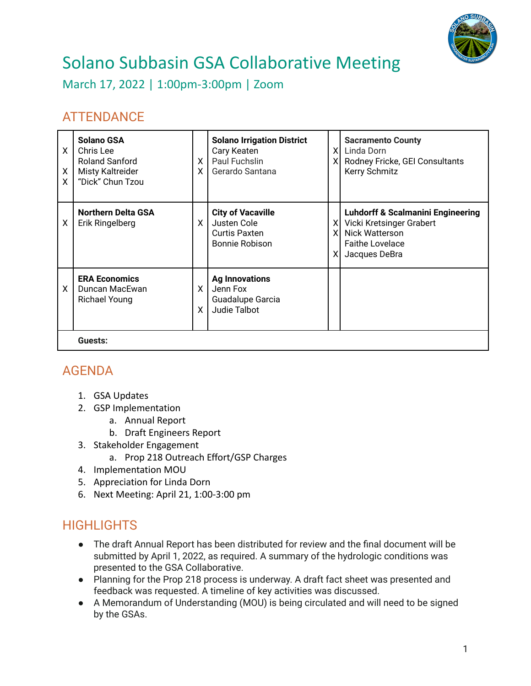

## Solano Subbasin GSA Collaborative Meeting

March 17, 2022 | 1:00pm-3:00pm | Zoom

## **ATTENDANCE**

| X<br>X<br>X. | <b>Solano GSA</b><br>Chris Lee<br><b>Roland Sanford</b><br>Misty Kaltreider<br>"Dick" Chun Tzou | $\times$<br>ΧI | <b>Solano Irrigation District</b><br>Cary Keaten<br>Paul Fuchslin<br>Gerardo Santana     | ΧI<br>XI       | <b>Sacramento County</b><br>Linda Dorn<br>Rodney Fricke, GEI Consultants<br>Kerry Schmitz                                                    |  |
|--------------|-------------------------------------------------------------------------------------------------|----------------|------------------------------------------------------------------------------------------|----------------|----------------------------------------------------------------------------------------------------------------------------------------------|--|
| Χ            | <b>Northern Delta GSA</b><br>Erik Ringelberg                                                    | X              | <b>City of Vacaville</b><br>Justen Cole<br><b>Curtis Paxten</b><br><b>Bonnie Robison</b> | XI<br>XI<br>XI | <b>Luhdorff &amp; Scalmanini Engineering</b><br>Vicki Kretsinger Grabert<br><b>Nick Watterson</b><br><b>Faithe Lovelace</b><br>Jacques DeBra |  |
| X            | <b>ERA Economics</b><br>Duncan MacEwan<br>Richael Young                                         | X.<br>X        | <b>Ag Innovations</b><br>Jenn Fox<br>Guadalupe Garcia<br>Judie Talbot                    |                |                                                                                                                                              |  |
|              | Guests:                                                                                         |                |                                                                                          |                |                                                                                                                                              |  |

## AGENDA

- 1. GSA Updates
- 2. GSP Implementation
	- a. Annual Report
	- b. Draft Engineers Report
- 3. Stakeholder Engagement
	- a. Prop 218 Outreach Effort/GSP Charges
- 4. Implementation MOU
- 5. Appreciation for Linda Dorn
- 6. Next Meeting: April 21, 1:00-3:00 pm

## **HIGHLIGHTS**

- The draft Annual Report has been distributed for review and the final document will be submitted by April 1, 2022, as required. A summary of the hydrologic conditions was presented to the GSA Collaborative.
- Planning for the Prop 218 process is underway. A draft fact sheet was presented and feedback was requested. A timeline of key activities was discussed.
- A Memorandum of Understanding (MOU) is being circulated and will need to be signed by the GSAs.